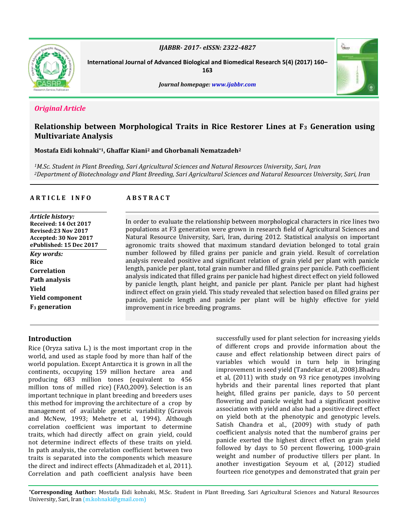

*IJABBR- 2017- eISSN: 2322-4827*

**International Journal of Advanced Biological and Biomedical Research 5(4) (2017) 160–**

**163**



# *Original Article*

# **Relationship between Morphological Traits in Rice Restorer Lines at F<sup>3</sup> Generation using Multivariate Analysis**

**Mostafa Eidi kohnaki\*1, Ghaffar Kiani<sup>2</sup> and Ghorbanali Nematzadeh<sup>2</sup>**

*<sup>1</sup>M.Sc. Student in Plant Breeding, Sari Agricultural Sciences and Natural Resources University, Sari, Iran <sup>2</sup>Department of Biotechnology and Plant Breeding, Sari Agricultural Sciences and Natural Resources University, Sari, Iran*

## **A R T I C L E I N F O A B S T R A C T**

*Article history:* **Received: 14 Oct 2017 Revised:23 Nov 2017 Accepted: 30 Nov 2017 ePublished: 15 Dec 2017** *Key words:* **Rice Correlation Path analysis Yield Yield component F<sup>3</sup> generation** 

In order to evaluate the relationship between morphological characters in rice lines two populations at F3 generation were grown in research field of Agricultural Sciences and Natural Resource University, Sari, Iran, during 2012. Statistical analysis on important agronomic traits showed that maximum standard deviation belonged to total grain number followed by filled grains per panicle and grain yield. Result of correlation analysis revealed positive and significant relation of grain yield per plant with panicle length, panicle per plant, total grain number and filled grains per panicle. Path coefficient analysis indicated that filled grains per panicle had highest direct effect on yield followed by panicle length, plant height, and panicle per plant. Panicle per plant had highest indirect effect on grain yield. This study revealed that selection based on filled grains per panicle, panicle length and panicle per plant will be highly effective for yield improvement in rice breeding programs.

## **Introduction**

Rice (Oryza sativa L.) is the most important crop in the world, and used as staple food by more than half of the world population. Except Antarctica it is grown in all the continents, occupying 159 million hectare area and producing 683 million tones (equivalent to 456 million tons of milled rice) (FAO,2009). Selection is an important technique in plant breeding and breeders uses this method for improving the architecture of a crop by management of available genetic variability (Gravois and McNew, 1993; Mehetre et al, 1994). Although correlation coefficient was important to determine traits, which had directly affect on grain yield, could not determine indirect effects of these traits on yield. In path analysis, the correlation coefficient between two traits is separated into the components which measure the direct and indirect effects (Ahmadizadeh et al, 2011). Correlation and path coefficient analysis have been

successfully used for plant selection for increasing yields of different crops and provide information about the cause and effect relationship between direct pairs of variables which would in turn help in bringing improvement in seed yield (Tandekar et al, 2008).Bhadru et al, (2011) with study on 93 rice genotypes involving hybrids and their parental lines reported that plant height, filled grains per panicle, days to 50 percent flowering and panicle weight had a significant positive association with yield and also had a positive direct effect on yield both at the phenotypic and genotypic levels. Satish Chandra et al., (2009) with study of path coefficient analysis noted that the numberof grains per panicle exerted the highest direct effect on grain yield followed by days to 50 percent flowering, 1000-grain weight and number of productive tillers per plant. In another investigation Seyoum et al, (2012) studied fourteen rice genotypes and demonstrated that grain per

**\*Corresponding Author:** Mostafa Eidi kohnaki, M.Sc. Student in Plant Breeding, Sari Agricultural Sciences and Natural Resources University, Sari, Iran (m.kohnaki@gmail.com)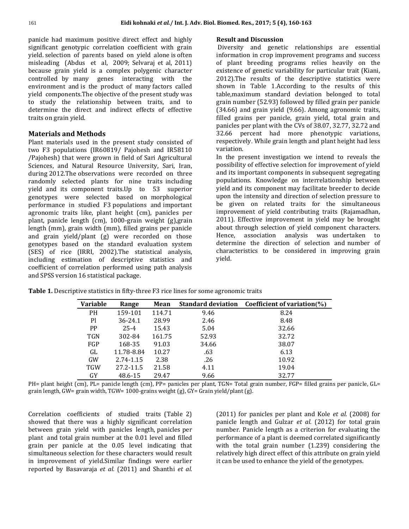panicle had maximum positive direct effect and highly significant genotypic correlation coefficient with grain yield. selection of parents based on yield alone is often misleading (Abdus et al, 2009; Selvaraj et al, 2011) because grain yield is a complex polygenic character controlled by many genes interacting with the environment and is the product of many factors called yield components.The objective of the present study was to study the relationship between traits, and to determine the direct and indirect effects of effective traits on grain yield.

## **Materials and Methods**

Plant materials used in the present study consisted of two F3 populations (IR60819/ Pajohesh and IR58110 /Pajohesh) that were grown in field of Sari Agricultural Sciences, and Natural Resource University, Sari, Iran, during 2012.The observations were recorded on three randomly selected plants for nine traits including yield and its component traits.Up to 53 superior genotypes were selected based on morphological performance in studied F3 populations and important agronomic traits like, plant height (cm), panicles per plant, panicle length (cm), 1000-grain weight (g),grain length (mm), grain width (mm), filled grains per panicle and grain yield/plant (g) were recorded on those genotypes based on the standard evaluation system (SES) of rice (IRRI, 2002).The statistical analysis, including estimation of descriptive statistics and coefficient of correlation performed using path analysis and SPSS version 16 statistical package.

### **Result and Discussion**

Diversity and genetic relationships are essential information in crop improvement programs and success of plant breeding programs relies heavily on the existence of genetic variability for particular trait (Kiani, 2012).The results of the descriptive statistics were shown in Table 1.According to the results of this table,maximum standard deviation belonged to total grain number (52.93) followed by filled grain per panicle (34.66) and grain yield (9.66). Among agronomic traits, filled grains per panicle, grain yield, total grain and panicles per plant with the CVs of 38.07, 32.77, 32.72 and 32.66 percent had more phenotypic variations, respectively. While grain length and plant height had less variation.

In the present investigation we intend to reveals the possibility of effective selection for improvement of yield and its important components in subsequent segregating populations. Knowledge on interrelationship between yield and its component may facilitate breeder to decide upon the intensity and direction of selection pressure to be given on related traits for the simultaneous improvement of yield contributing traits (Rajamadhan, 2011). Effective improvement in yield may be brought about through selection of yield component characters. Hence, association analysis was undertaken to determine the direction of selection and number of characteristics to be considered in improving grain yield.

| <b>Variable</b> | Range      | Mean   |       | Standard deviation Coefficient of variation(%) |
|-----------------|------------|--------|-------|------------------------------------------------|
| <b>PH</b>       | 159-101    | 114.71 | 9.46  | 8.24                                           |
| Pl              | 36-24.1    | 28.99  | 2.46  | 8.48                                           |
| <b>PP</b>       | $25 - 4$   | 15.43  | 5.04  | 32.66                                          |
| <b>TGN</b>      | 302-84     | 161.75 | 52.93 | 32.72                                          |
| FGP             | 168-35     | 91.03  | 34.66 | 38.07                                          |
| GL              | 11.78-8.84 | 10.27  | .63   | 6.13                                           |
| GW              | 2.74-1.15  | 2.38   | .26   | 10.92                                          |
| <b>TGW</b>      | 27.2-11.5  | 21.58  | 4.11  | 19.04                                          |
| <b>GY</b>       | 48.6-15    | 29.47  | 9.66  | 32.77                                          |

**Table 1.** Descriptive statistics in fifty-three F3 rice lines for some agronomic traits

PH= plant height (cm), PL= panicle length (cm), PP= panicles per plant, TGN= Total grain number, FGP= filled grains per panicle, GL= grain length, GW= grain width, TGW= 1000-grains weight (g), GY= Grain yield/plant (g).

Correlation coefficients of studied traits (Table 2) showed that there was a highly significant correlation between grain yield with panicles length, panicles per plant and total grain number at the 0.01 level and filled grain per panicle at the 0.05 level indicating that simultaneous selection for these characters would result in improvement of yield.Similar findings were earlier reported by Basavaraja *et al.* (2011) and Shanthi *et al.* (2011) for panicles per plant and Kole *et al.* (2008) for panicle length and Gulzar *et al.* (2012) for total grain number. Panicle length as a criterion for evaluating the performance of a plant is deemed correlated significantly with the total grain number (1.239) considering the relatively high direct effect of this attribute on grain yield it can be used to enhance the yield of the genotypes.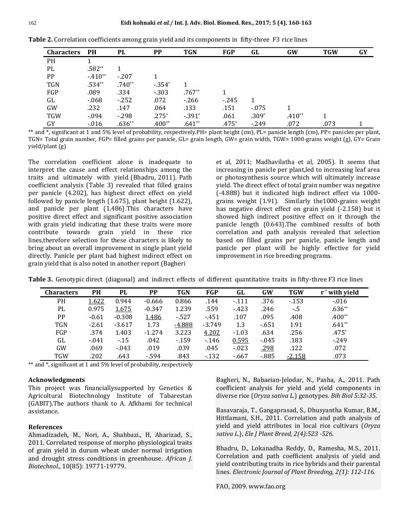| <b>Characters</b> | PH       | PL       | <b>PP</b> | <b>TGN</b> | FGP     | GL      | <b>GW</b> | <b>TGW</b> | GY |
|-------------------|----------|----------|-----------|------------|---------|---------|-----------|------------|----|
| PH                |          |          |           |            |         |         |           |            |    |
| PL                | $.582**$ |          |           |            |         |         |           |            |    |
| PP                | $-410**$ | $-207$   |           |            |         |         |           |            |    |
| <b>TGN</b>        | $.534**$ | $.740**$ | $-354*$   |            |         |         |           |            |    |
| FGP               | .089     | .334     | $-303$    | $.767**$   |         |         |           |            |    |
| GL                | $-068$   | $-252$   | .072      | $-266$     | $-245$  |         |           |            |    |
| GW                | .232     | .147     | .064      | .133       | .151    | $-075$  |           |            |    |
| <b>TGW</b>        | $-0.94$  | $-298$   | $.275*$   | $-391^*$   | .061    | $.309*$ | $.410**$  |            |    |
| GY                | $-016$   | $.636**$ | $.400**$  | $.641**$   | $.475*$ | $-249$  | .072      | .073       |    |

**Table 2.** Correlation coefficients among grain yield and its components in fifty-three F3 rice lines

\*\* and  $*$ , significant at 1 and 5% level of probability, respectively. PH= plant height (cm), PL= panicle length (cm), PP= panicles per plant, TGN= Total grain number, FGP= filled grains per panicle, GL= grain length, GW= grain width, TGW= 1000-grains weight (g), GY= Grain yield/plant (g)

The correlation coefficient alone is inadequate to interpret the cause and effect relationships among the traits and ultimately with yield (Bhadru, 2011). Path coefficient analysis (Table 3) revealed that filled grains per panicle (4.202), has highest direct effect on yield followed by panicle length (1.675), plant height (1.622), and panicle per plant (1.486).This characters have positive direct effect and significant positive association with grain yield indicating that these traits were more contribute towards grain yield in these rice lines,therefore selection for these characters is likely to bring about an overall improvement in single plant yield directly. Panicle per plant had highest indirect effect on grain yield that is also noted in another report (Bagheri

et al, 2011; Madhavilatha et al, 2005). It seems that increasing in panicle per plant,led to increasing leaf area or photosynthesis source which will ultimately increase yield. The direct effect of total grain number was negative (-4.888) but it indicated high indirect effect via 1000 grains weight (1.91). Similarly the1000-grains weight has negative direct effect on grain yield (-2.158) but it showed high indirect positive effect on it through the panicle length (0.643).The combined results of both correlation and path analysis revealed that selection based on filled grains per panicle, panicle length and panicle per plant will be highly effective for yield improvement in rice breeding programs.

**Table 3.** Genotypic direct (diagonal) and indirect effects of different quantitative traits in fifty-three F3 rice lines

| <b>Characters</b> | PH      | PL       | <b>PP</b> | <b>TGN</b> | FGP      | GL      | GW     | <b>TGW</b> | r' with yield |
|-------------------|---------|----------|-----------|------------|----------|---------|--------|------------|---------------|
| PH                | 1.622   | 0.944    | $-0.666$  | 0.866      | .144     | $-111$  | .376   | $-153$     | $-0.016$      |
| PL                | 0.975   | 1.675    | $-0.347$  | 1.239      | .559     | $-423$  | .246   | $-.5$      | $.636**$      |
| <b>PP</b>         | $-0.61$ | $-0.308$ | 1.486     | $-527$     | $-451$   | .107    | .095   | .408       | $.400**$      |
| <b>TGN</b>        | $-2.61$ | $-3.617$ | 1.73      | $-4.888$   | $-3.749$ | 1.3     | $-651$ | 1.91       | $.641**$      |
| FGP               | .374    | 1.403    | $-1.274$  | 3.223      | 4.202    | $-1.03$ | .634   | .256       | $.475*$       |
| GL                | $-041$  | $-15$    | .042      | $-159$     | $-146$   | 0.595   | $-045$ | .183       | $-249$        |
| GW                | .069    | $-043$   | .019      | .039       | .045     | $-023$  | .298   | .122       | .072          |
| <b>TGW</b>        | .202    | .643     | $-594$    | .843       | $-132$   | $-667$  | $-885$ | $-2.158$   | .073          |

\*\* and \*, significant at 1 and 5% level of probability, respectively

#### **Acknowledgments**

This project was financiallysupported by Genetics & Agricultural Biotechnology Institute of Tabarestan (GABIT).The authors thank to A. Afkhami for technical assistance.

#### **References**

Ahmadizadeh, M., Nori, A., Shahbazi., H, Aharizad, S., 2011. Correlated response of morpho physiological traits of grain yield in durum wheat under normal irrigation and drought stress conditions in greenhouse. *African J. Biotechnol.,* 10(85): 19771-19779.

Bagheri, N., Babaeian-Jelodar, N., Pasha, A., 2011. Path coefficient analysis for yield and yield components in diverse rice (*Oryza sativa L*.) genotypes. *Bih Biol 5:32-35*.

Basavaraja, T., Gangaprasad, S., Dhusyantha Kumar, B.M., Hittlamani, S.H., 2011. Correlation and path analysis of yield and yield attributes in local rice cultivars (*Oryza sativa L*.), *Ele J Plant Breed, 2(4):523 -526.*

Bhadru, D., Lokanadha Reddy, D., Ramesha, M.S., 2011. Correlation and path coefficient analysis of yield and yield contributing traits in rice hybrids and their parental lines*. Electronic Journal of Plant Breeding, 2(1): 112-116.*

FAO, 2009. www.fao.org